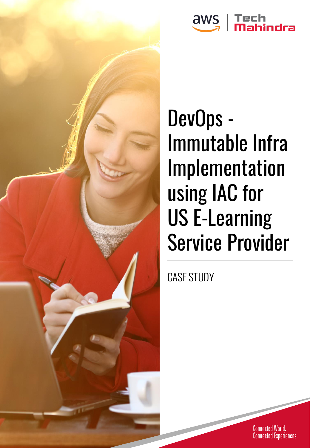

# DevOps - Immutable Infra Implementation using IAC for US E-Learning Service Provider

CASE STUDY

Connected World.<br>Connected Experiences.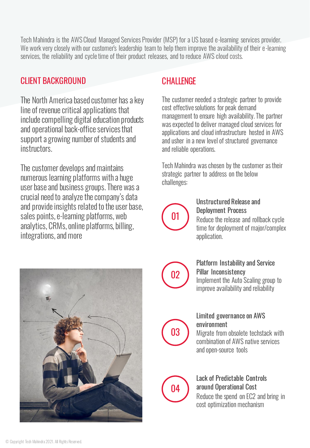Tech Mahindra is the AWS Cloud Managed Services Provider (MSP) for a US based e-learning services provider. We work very closely with our customer's leadership team to help them improve the availability of their e-learning services, the reliability and cycle time of their product releases, and to reduce AWS cloud costs.

#### CLIENT BACKGROUND

The North America based customer has a key line of revenue critical applications that include compelling digital education products and operational back-office services that support a growing number of students and instructors.

The customer develops and maintains numerous learning platforms with a huge user base and business groups. There was a crucial need to analyze the company's data and provide insights related to the user base, sales points, e-learning platforms, web analytics, CRMs, online platforms, billing, integrations, and more

#### **CHALLENGE**

The customer needed a strategic partner to provide cost effective solutions for peak demand management to ensure high availability. The partner was expected to deliver managed cloud services for applications and cloud infrastructure hosted in AWS and usher in a new level of structured governance and reliable operations.

Tech Mahindra was chosen by the customer as their strategic partner to address on the below challenges:



#### Unstructured Release and Deployment Process

Reduce the release and rollback cycle time for deployment of major/complex application.



Platform Instability and Service Pillar Inconsistency Implement the Auto Scaling group to

improve availability and reliability



02

#### Limited governance on AWS environment

Migrate from obsolete techstack with combination of AWS native services and open-source tools



#### Lack of Predictable Controls around Operational Cost Reduce the spend on EC2 and bring in cost optimization mechanism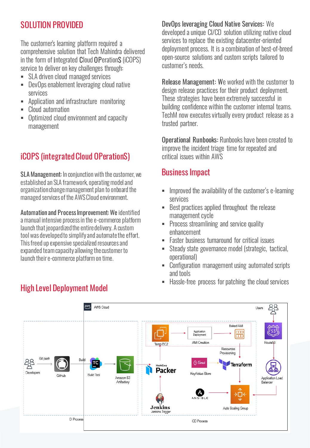#### SOLUTION PROVIDED

The customer's learning platform required a comprehensive solution that Tech Mahindra delivered in the form of integrated Cloud OPerationS (iCOPS) service to deliver on key challenges through:

- SLA driven cloud managed services
- DevOps enablement leveraging cloud native services
- Application and infrastructure monitoring
- Cloud automation
- Optimized cloud environment and capacity management

## **iCOPS (integrated Cloud OPerationS)** critical issues within AWS

SLA Management: In conjunction with the customer, we established an SLA framework, operating model and organization change management plan to onboard the managed services of the AWS Cloud environment.

Automation and Process Improvement: We identified a manual intensive process in the e-commerce platform launch that jeopardized the entire delivery. A custom tool was developed to simplify and automate the effort. This freed up expensive specialized resources and expanded team capacity allowing the customer to launch their e-commerce platform on time.

DevOps leveraging Cloud Native Services: We developed a unique CI/CD solution utilizing native cloud services to replace the existing datacenter-oriented deployment process. It is a combination of best-of-breed open-source solutions and custom scripts tailored to customer's needs.

Release Management: We worked with the customer to design release practices for their product deployment. These strategies have been extremely successful in building confidence within the customer internal teams. TechM now executes virtually every product release as a trusted partner.

Operational Runbooks: Runbooks have been created to improve the incident triage time for repeated and

### Business Impact

- **EXEDENT** Improved the availability of the customer's e-learning services
- Best practices applied throughout the release management cycle
- **Process streamlining and service quality** enhancement
- **Easter business turnaround for critical issues**
- Steady state governance model (strategic, tactical, operational)
- Configuration management using automated scripts and tools
- Hassle-free process for patching the cloud services



## High Level Deployment Model